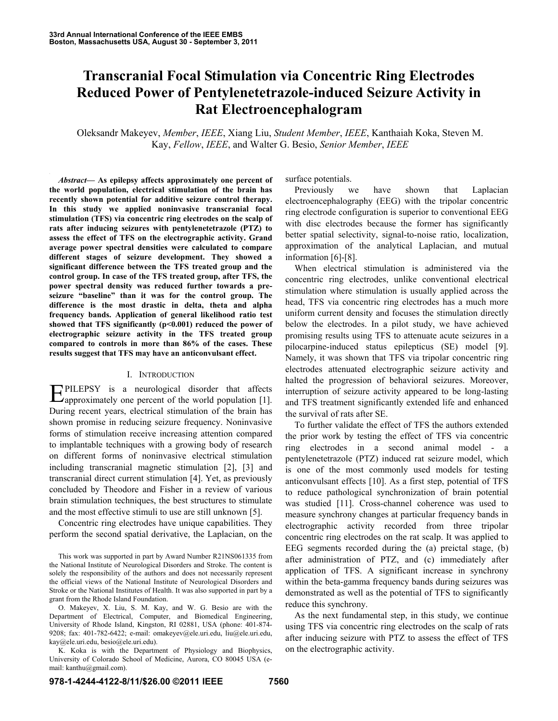# **Transcranial Focal Stimulation via Concentric Ring Electrodes Reduced Power of Pentylenetetrazole-induced Seizure Activity in Rat Electroencephalogram**

Oleksandr Makeyev, *Member*, *IEEE*, Xiang Liu, *Student Member*, *IEEE*, Kanthaiah Koka, Steven M. Kay, *Fellow*, *IEEE*, and Walter G. Besio, *Senior Member*, *IEEE*

*Abstract***— As epilepsy affects approximately one percent of the world population, electrical stimulation of the brain has recently shown potential for additive seizure control therapy. In this study we applied noninvasive transcranial focal stimulation (TFS) via concentric ring electrodes on the scalp of rats after inducing seizures with pentylenetetrazole (PTZ) to assess the effect of TFS on the electrographic activity. Grand average power spectral densities were calculated to compare different stages of seizure development. They showed a significant difference between the TFS treated group and the control group. In case of the TFS treated group, after TFS, the power spectral density was reduced further towards a preseizure "baseline" than it was for the control group. The difference is the most drastic in delta, theta and alpha frequency bands. Application of general likelihood ratio test**  showed that TFS significantly (p<0.001) reduced the power of **electrographic seizure activity in the TFS treated group compared to controls in more than 86% of the cases. These results suggest that TFS may have an anticonvulsant effect.** 

#### I. INTRODUCTION

PILEPSY is a neurological disorder that affects EPILEPSY is a neurological disorder that affects approximately one percent of the world population [1]. During recent years, electrical stimulation of the brain has shown promise in reducing seizure frequency. Noninvasive forms of stimulation receive increasing attention compared to implantable techniques with a growing body of research on different forms of noninvasive electrical stimulation including transcranial magnetic stimulation [2], [3] and transcranial direct current stimulation [4]. Yet, as previously concluded by Theodore and Fisher in a review of various brain stimulation techniques, the best structures to stimulate and the most effective stimuli to use are still unknown [5].

Concentric ring electrodes have unique capabilities. They perform the second spatial derivative, the Laplacian, on the

This work was supported in part by Award Number R21NS061335 from the National Institute of Neurological Disorders and Stroke. The content is solely the responsibility of the authors and does not necessarily represent the official views of the National Institute of Neurological Disorders and Stroke or the National Institutes of Health. It was also supported in part by a grant from the Rhode Island Foundation.

O. Makeyev, X. Liu, S. M. Kay, and W. G. Besio are with the Department of Electrical, Computer, and Biomedical Engineering, University of Rhode Island, Kingston, RI 02881, USA (phone: 401-874- 9208; fax: 401-782-6422; e-mail: omakeyev@ele.uri.edu, liu@ele.uri.edu, kay@ele.uri.edu, besio@ele.uri.edu).

K. Koka is with the Department of Physiology and Biophysics, University of Colorado School of Medicine, Aurora, CO 80045 USA (email: kanthu@gmail.com).

surface potentials.

Previously we have shown that Laplacian electroencephalography (EEG) with the tripolar concentric ring electrode configuration is superior to conventional EEG with disc electrodes because the former has significantly better spatial selectivity, signal-to-noise ratio, localization, approximation of the analytical Laplacian, and mutual information [6]-[8].

When electrical stimulation is administered via the concentric ring electrodes, unlike conventional electrical stimulation where stimulation is usually applied across the head, TFS via concentric ring electrodes has a much more uniform current density and focuses the stimulation directly below the electrodes. In a pilot study, we have achieved promising results using TFS to attenuate acute seizures in a pilocarpine-induced status epilepticus (SE) model [9]. Namely, it was shown that TFS via tripolar concentric ring electrodes attenuated electrographic seizure activity and halted the progression of behavioral seizures. Moreover, interruption of seizure activity appeared to be long-lasting and TFS treatment significantly extended life and enhanced the survival of rats after SE.

To further validate the effect of TFS the authors extended the prior work by testing the effect of TFS via concentric ring electrodes in a second animal model - a pentylenetetrazole (PTZ) induced rat seizure model, which is one of the most commonly used models for testing anticonvulsant effects [10]. As a first step, potential of TFS to reduce pathological synchronization of brain potential was studied [11]. Cross-channel coherence was used to measure synchrony changes at particular frequency bands in electrographic activity recorded from three tripolar concentric ring electrodes on the rat scalp. It was applied to EEG segments recorded during the (a) preictal stage, (b) after administration of PTZ, and (c) immediately after application of TFS. A significant increase in synchrony within the beta-gamma frequency bands during seizures was demonstrated as well as the potential of TFS to significantly reduce this synchrony.

As the next fundamental step, in this study, we continue using TFS via concentric ring electrodes on the scalp of rats after inducing seizure with PTZ to assess the effect of TFS on the electrographic activity.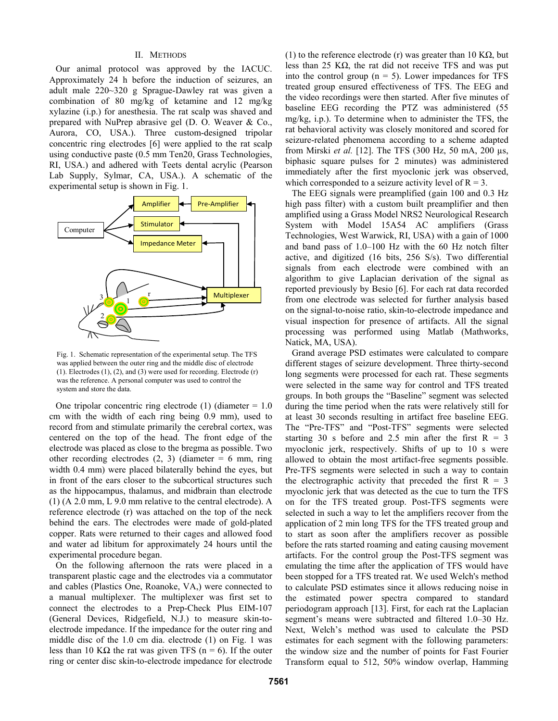#### II. METHODS

Our animal protocol was approved by the IACUC. Approximately 24 h before the induction of seizures, an adult male 220~320 g Sprague-Dawley rat was given a combination of 80 mg/kg of ketamine and 12 mg/kg xylazine (i.p.) for anesthesia. The rat scalp was shaved and prepared with NuPrep abrasive gel (D. O. Weaver & Co., Aurora, CO, USA.). Three custom-designed tripolar concentric ring electrodes [6] were applied to the rat scalp using conductive paste (0.5 mm Ten20, Grass Technologies, RI, USA.) and adhered with Teets dental acrylic (Pearson Lab Supply, Sylmar, CA, USA.). A schematic of the experimental setup is shown in Fig. 1.



Fig. 1. Schematic representation of the experimental setup. The TFS was applied between the outer ring and the middle disc of electrode (1). Electrodes (1), (2), and (3) were used for recording. Electrode (r) was the reference. A personal computer was used to control the system and store the data.

One tripolar concentric ring electrode  $(1)$  (diameter = 1.0) cm with the width of each ring being 0.9 mm), used to record from and stimulate primarily the cerebral cortex, was centered on the top of the head. The front edge of the electrode was placed as close to the bregma as possible. Two other recording electrodes  $(2, 3)$  (diameter = 6 mm, ring width 0.4 mm) were placed bilaterally behind the eyes, but in front of the ears closer to the subcortical structures such as the hippocampus, thalamus, and midbrain than electrode (1) (A 2.0 mm, L 9.0 mm relative to the central electrode). A reference electrode (r) was attached on the top of the neck behind the ears. The electrodes were made of gold-plated copper. Rats were returned to their cages and allowed food and water ad libitum for approximately 24 hours until the experimental procedure began.

On the following afternoon the rats were placed in a transparent plastic cage and the electrodes via a commutator and cables (Plastics One, Roanoke, VA,) were connected to a manual multiplexer. The multiplexer was first set to connect the electrodes to a Prep-Check Plus EIM-107 (General Devices, Ridgefield, N.J.) to measure skin-toelectrode impedance. If the impedance for the outer ring and middle disc of the 1.0 cm dia. electrode (1) on Fig. 1 was less than 10 K $\Omega$  the rat was given TFS (n = 6). If the outer ring or center disc skin-to-electrode impedance for electrode (1) to the reference electrode (r) was greater than 10 K $\Omega$ , but less than 25 KΩ, the rat did not receive TFS and was put into the control group  $(n = 5)$ . Lower impedances for TFS treated group ensured effectiveness of TFS. The EEG and the video recordings were then started. After five minutes of baseline EEG recording the PTZ was administered (55 mg/kg, i.p.). To determine when to administer the TFS, the rat behavioral activity was closely monitored and scored for seizure-related phenomena according to a scheme adapted from Mirski *et al.* [12]. The TFS (300 Hz, 50 mA, 200 µs, biphasic square pulses for 2 minutes) was administered immediately after the first myoclonic jerk was observed, which corresponded to a seizure activity level of  $R = 3$ .

The EEG signals were preamplified (gain 100 and 0.3 Hz high pass filter) with a custom built preamplifier and then amplified using a Grass Model NRS2 Neurological Research System with Model 15A54 AC amplifiers (Grass Technologies, West Warwick, RI, USA) with a gain of 1000 and band pass of 1.0–100 Hz with the 60 Hz notch filter active, and digitized (16 bits, 256 S/s). Two differential signals from each electrode were combined with an algorithm to give Laplacian derivation of the signal as reported previously by Besio [6]. For each rat data recorded from one electrode was selected for further analysis based on the signal-to-noise ratio, skin-to-electrode impedance and visual inspection for presence of artifacts. All the signal processing was performed using Matlab (Mathworks, Natick, MA, USA).

Grand average PSD estimates were calculated to compare different stages of seizure development. Three thirty-second long segments were processed for each rat. These segments were selected in the same way for control and TFS treated groups. In both groups the "Baseline" segment was selected during the time period when the rats were relatively still for at least 30 seconds resulting in artifact free baseline EEG. The "Pre-TFS" and "Post-TFS" segments were selected starting 30 s before and 2.5 min after the first  $R = 3$ myoclonic jerk, respectively. Shifts of up to 10 s were allowed to obtain the most artifact-free segments possible. Pre-TFS segments were selected in such a way to contain the electrographic activity that preceded the first  $R = 3$ myoclonic jerk that was detected as the cue to turn the TFS on for the TFS treated group. Post-TFS segments were selected in such a way to let the amplifiers recover from the application of 2 min long TFS for the TFS treated group and to start as soon after the amplifiers recover as possible before the rats started roaming and eating causing movement artifacts. For the control group the Post-TFS segment was emulating the time after the application of TFS would have been stopped for a TFS treated rat. We used Welch's method to calculate PSD estimates since it allows reducing noise in the estimated power spectra compared to standard periodogram approach [13]. First, for each rat the Laplacian segment's means were subtracted and filtered 1.0–30 Hz. Next, Welch's method was used to calculate the PSD estimates for each segment with the following parameters: the window size and the number of points for Fast Fourier Transform equal to 512, 50% window overlap, Hamming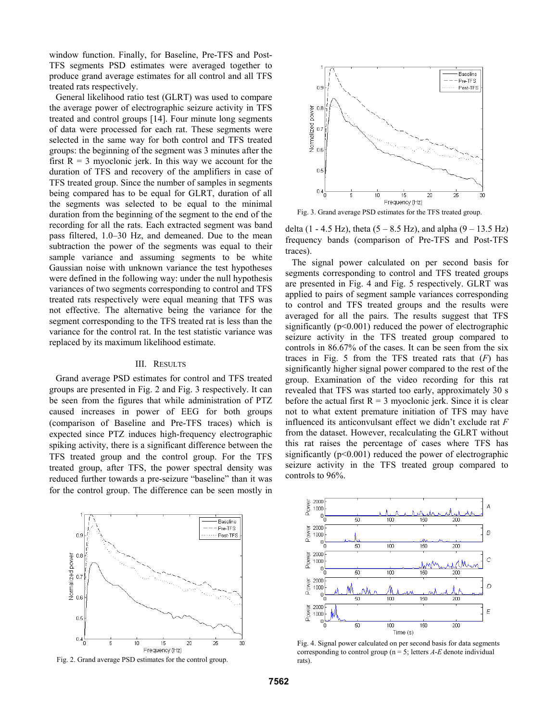window function. Finally, for Baseline, Pre-TFS and Post-TFS segments PSD estimates were averaged together to produce grand average estimates for all control and all TFS treated rats respectively.

General likelihood ratio test (GLRT) was used to compare the average power of electrographic seizure activity in TFS treated and control groups [14]. Four minute long segments of data were processed for each rat. These segments were selected in the same way for both control and TFS treated groups: the beginning of the segment was 3 minutes after the first  $R = 3$  myoclonic jerk. In this way we account for the duration of TFS and recovery of the amplifiers in case of TFS treated group. Since the number of samples in segments being compared has to be equal for GLRT, duration of all the segments was selected to be equal to the minimal duration from the beginning of the segment to the end of the recording for all the rats. Each extracted segment was band pass filtered, 1.0–30 Hz, and demeaned. Due to the mean subtraction the power of the segments was equal to their sample variance and assuming segments to be white Gaussian noise with unknown variance the test hypotheses were defined in the following way: under the null hypothesis variances of two segments corresponding to control and TFS treated rats respectively were equal meaning that TFS was not effective. The alternative being the variance for the segment corresponding to the TFS treated rat is less than the variance for the control rat. In the test statistic variance was replaced by its maximum likelihood estimate.

## III. RESULTS

Grand average PSD estimates for control and TFS treated groups are presented in Fig. 2 and Fig. 3 respectively. It can be seen from the figures that while administration of PTZ caused increases in power of EEG for both groups (comparison of Baseline and Pre-TFS traces) which is expected since PTZ induces high-frequency electrographic spiking activity, there is a significant difference between the TFS treated group and the control group. For the TFS treated group, after TFS, the power spectral density was reduced further towards a pre-seizure "baseline" than it was for the control group. The difference can be seen mostly in



Fig. 2. Grand average PSD estimates for the control group. rats).



Fig. 3. Grand average PSD estimates for the TFS treated group.

delta (1 - 4.5 Hz), theta (5 – 8.5 Hz), and alpha (9 – 13.5 Hz) frequency bands (comparison of Pre-TFS and Post-TFS traces).

The signal power calculated on per second basis for segments corresponding to control and TFS treated groups are presented in Fig. 4 and Fig. 5 respectively. GLRT was applied to pairs of segment sample variances corresponding to control and TFS treated groups and the results were averaged for all the pairs. The results suggest that TFS significantly ( $p<0.001$ ) reduced the power of electrographic seizure activity in the TFS treated group compared to controls in 86.67% of the cases. It can be seen from the six traces in Fig. 5 from the TFS treated rats that (*F*) has significantly higher signal power compared to the rest of the group. Examination of the video recording for this rat revealed that TFS was started too early, approximately 30 s before the actual first  $R = 3$  myoclonic jerk. Since it is clear not to what extent premature initiation of TFS may have influenced its anticonvulsant effect we didn't exclude rat *F* from the dataset. However, recalculating the GLRT without this rat raises the percentage of cases where TFS has significantly  $(p<0.001)$  reduced the power of electrographic seizure activity in the TFS treated group compared to controls to 96%.



Fig. 4. Signal power calculated on per second basis for data segments corresponding to control group ( $n = 5$ ; letters  $A$ - $E$  denote individual